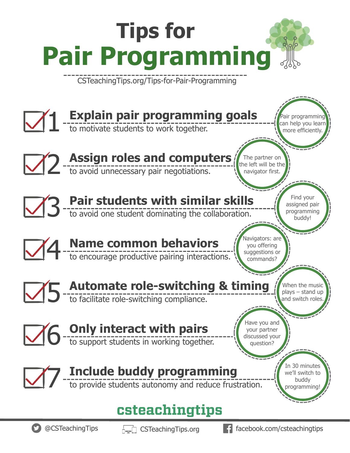